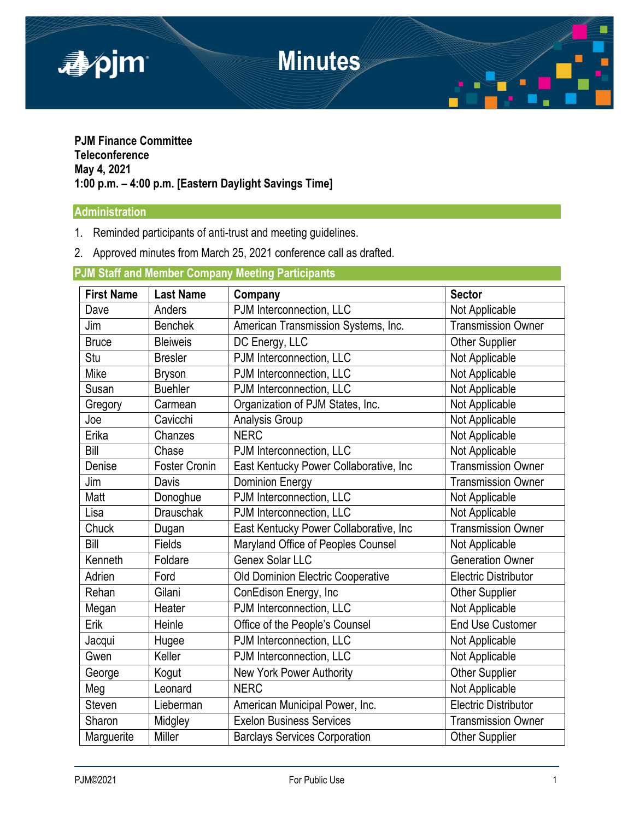

**PJM Finance Committee Teleconference May 4, 2021 1:00 p.m. – 4:00 p.m. [Eastern Daylight Savings Time]** 

## **Administration**

- 1. Reminded participants of anti-trust and meeting guidelines.
- 2. Approved minutes from March 25, 2021 conference call as drafted.

## **PJM Staff and Member Company Meeting Participants**

| <b>First Name</b> | <b>Last Name</b>     | Company                                | <b>Sector</b>               |
|-------------------|----------------------|----------------------------------------|-----------------------------|
| Dave              | Anders               | PJM Interconnection, LLC               | Not Applicable              |
| Jim               | <b>Benchek</b>       | American Transmission Systems, Inc.    | <b>Transmission Owner</b>   |
| <b>Bruce</b>      | <b>Bleiweis</b>      | DC Energy, LLC                         | <b>Other Supplier</b>       |
| Stu               | <b>Bresler</b>       | PJM Interconnection, LLC               | Not Applicable              |
| Mike              | <b>Bryson</b>        | PJM Interconnection, LLC               | Not Applicable              |
| Susan             | <b>Buehler</b>       | PJM Interconnection, LLC               | Not Applicable              |
| Gregory           | Carmean              | Organization of PJM States, Inc.       | Not Applicable              |
| Joe               | Cavicchi             | Analysis Group                         | Not Applicable              |
| Erika             | Chanzes              | <b>NERC</b>                            | Not Applicable              |
| Bill              | Chase                | PJM Interconnection, LLC               | Not Applicable              |
| Denise            | <b>Foster Cronin</b> | East Kentucky Power Collaborative, Inc | <b>Transmission Owner</b>   |
| Jim               | Davis                | <b>Dominion Energy</b>                 | <b>Transmission Owner</b>   |
| Matt              | Donoghue             | PJM Interconnection, LLC               | Not Applicable              |
| Lisa              | <b>Drauschak</b>     | PJM Interconnection, LLC               | Not Applicable              |
| Chuck             | Dugan                | East Kentucky Power Collaborative, Inc | <b>Transmission Owner</b>   |
| Bill              | Fields               | Maryland Office of Peoples Counsel     | Not Applicable              |
| Kenneth           | Foldare              | Genex Solar LLC                        | <b>Generation Owner</b>     |
| Adrien            | Ford                 | Old Dominion Electric Cooperative      | <b>Electric Distributor</b> |
| Rehan             | Gilani               | ConEdison Energy, Inc                  | <b>Other Supplier</b>       |
| Megan             | Heater               | PJM Interconnection, LLC               | Not Applicable              |
| Erik              | Heinle               | Office of the People's Counsel         | <b>End Use Customer</b>     |
| Jacqui            | Hugee                | PJM Interconnection, LLC               | Not Applicable              |
| Gwen              | Keller               | PJM Interconnection, LLC               | Not Applicable              |
| George            | Kogut                | New York Power Authority               | Other Supplier              |
| Meg               | Leonard              | <b>NERC</b>                            | Not Applicable              |
| Steven            | Lieberman            | American Municipal Power, Inc.         | <b>Electric Distributor</b> |
| Sharon            | Midgley              | <b>Exelon Business Services</b>        | <b>Transmission Owner</b>   |
| Marguerite        | Miller               | <b>Barclays Services Corporation</b>   | <b>Other Supplier</b>       |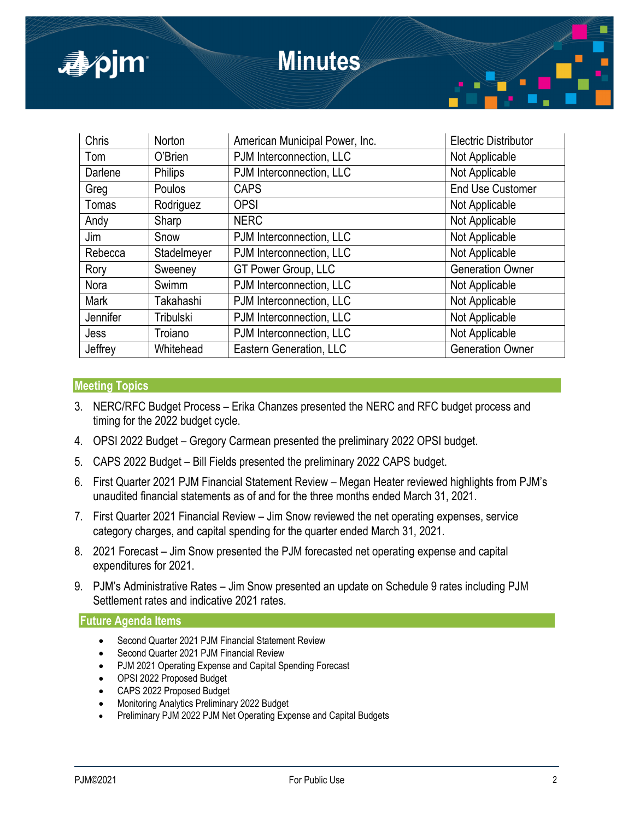

| Chris    | Norton         | American Municipal Power, Inc. | <b>Electric Distributor</b> |
|----------|----------------|--------------------------------|-----------------------------|
| Tom      | O'Brien        | PJM Interconnection, LLC       | Not Applicable              |
| Darlene  | <b>Philips</b> | PJM Interconnection, LLC       | Not Applicable              |
| Greg     | Poulos         | <b>CAPS</b>                    | <b>End Use Customer</b>     |
| Tomas    | Rodriguez      | <b>OPSI</b>                    | Not Applicable              |
| Andy     | Sharp          | <b>NERC</b>                    | Not Applicable              |
| Jim      | Snow           | PJM Interconnection, LLC       | Not Applicable              |
| Rebecca  | Stadelmeyer    | PJM Interconnection, LLC       | Not Applicable              |
| Rory     | Sweeney        | GT Power Group, LLC            | <b>Generation Owner</b>     |
| Nora     | Swimm          | PJM Interconnection, LLC       | Not Applicable              |
| Mark     | Takahashi      | PJM Interconnection, LLC       | Not Applicable              |
| Jennifer | Tribulski      | PJM Interconnection, LLC       | Not Applicable              |
| Jess     | Troiano        | PJM Interconnection, LLC       | Not Applicable              |
| Jeffrey  | Whitehead      | Eastern Generation, LLC        | <b>Generation Owner</b>     |

## **Meeting Topics**

- 3. NERC/RFC Budget Process Erika Chanzes presented the NERC and RFC budget process and timing for the 2022 budget cycle.
- 4. OPSI 2022 Budget Gregory Carmean presented the preliminary 2022 OPSI budget.
- 5. CAPS 2022 Budget Bill Fields presented the preliminary 2022 CAPS budget.
- 6. First Quarter 2021 PJM Financial Statement Review Megan Heater reviewed highlights from PJM's unaudited financial statements as of and for the three months ended March 31, 2021.
- 7. First Quarter 2021 Financial Review Jim Snow reviewed the net operating expenses, service category charges, and capital spending for the quarter ended March 31, 2021.
- 8. 2021 Forecast Jim Snow presented the PJM forecasted net operating expense and capital expenditures for 2021.
- 9. PJM's Administrative Rates Jim Snow presented an update on Schedule 9 rates including PJM Settlement rates and indicative 2021 rates.

**Future Agenda Items** 

- Second Quarter 2021 PJM Financial Statement Review
- Second Quarter 2021 PJM Financial Review
- PJM 2021 Operating Expense and Capital Spending Forecast
- OPSI 2022 Proposed Budget
- CAPS 2022 Proposed Budget
- Monitoring Analytics Preliminary 2022 Budget
- Preliminary PJM 2022 PJM Net Operating Expense and Capital Budgets